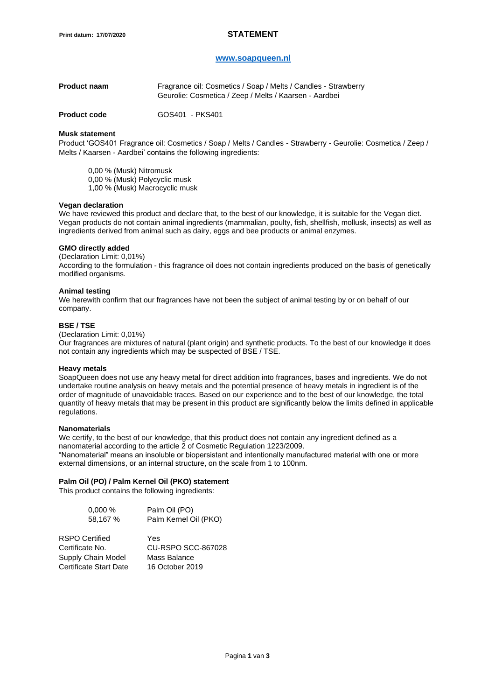# **[www.soapqueen.nl](http://www.soapqueen.nl/)**

| <b>Product naam</b> | Fragrance oil: Cosmetics / Soap / Melts / Candles - Strawberry<br>Geurolie: Cosmetica / Zeep / Melts / Kaarsen - Aardbei |
|---------------------|--------------------------------------------------------------------------------------------------------------------------|
|                     |                                                                                                                          |

**Product code 60S401 - PKS401** 

# **Musk statement**

Product 'GOS401 Fragrance oil: Cosmetics / Soap / Melts / Candles - Strawberry - Geurolie: Cosmetica / Zeep / Melts / Kaarsen - Aardbei' contains the following ingredients:

0,00 % (Musk) Nitromusk

0,00 % (Musk) Polycyclic musk 1,00 % (Musk) Macrocyclic musk

# **Vegan declaration**

We have reviewed this product and declare that, to the best of our knowledge, it is suitable for the Vegan diet. Vegan products do not contain animal ingredients (mammalian, poulty, fish, shellfish, mollusk, insects) as well as ingredients derived from animal such as dairy, eggs and bee products or animal enzymes.

### **GMO directly added**

(Declaration Limit: 0,01%)

According to the formulation - this fragrance oil does not contain ingredients produced on the basis of genetically modified organisms.

### **Animal testing**

We herewith confirm that our fragrances have not been the subject of animal testing by or on behalf of our company.

# **BSE / TSE**

(Declaration Limit: 0,01%)

Our fragrances are mixtures of natural (plant origin) and synthetic products. To the best of our knowledge it does not contain any ingredients which may be suspected of BSE / TSE.

### **Heavy metals**

SoapQueen does not use any heavy metal for direct addition into fragrances, bases and ingredients. We do not undertake routine analysis on heavy metals and the potential presence of heavy metals in ingredient is of the order of magnitude of unavoidable traces. Based on our experience and to the best of our knowledge, the total quantity of heavy metals that may be present in this product are significantly below the limits defined in applicable regulations.

### **Nanomaterials**

We certify, to the best of our knowledge, that this product does not contain any ingredient defined as a nanomaterial according to the article 2 of Cosmetic Regulation 1223/2009. "Nanomaterial" means an insoluble or biopersistant and intentionally manufactured material with one or more external dimensions, or an internal structure, on the scale from 1 to 100nm.

# **Palm Oil (PO) / Palm Kernel Oil (PKO) statement**

This product contains the following ingredients:

| 0,000%<br>58,167 %     | Palm Oil (PO)<br>Palm Kernel Oil (PKO) |
|------------------------|----------------------------------------|
| RSPO Certified         | Yes                                    |
| Certificate No.        | CU-RSPO SCC-867028                     |
| Supply Chain Model     | Mass Balance                           |
| Certificate Start Date | 16 October 2019                        |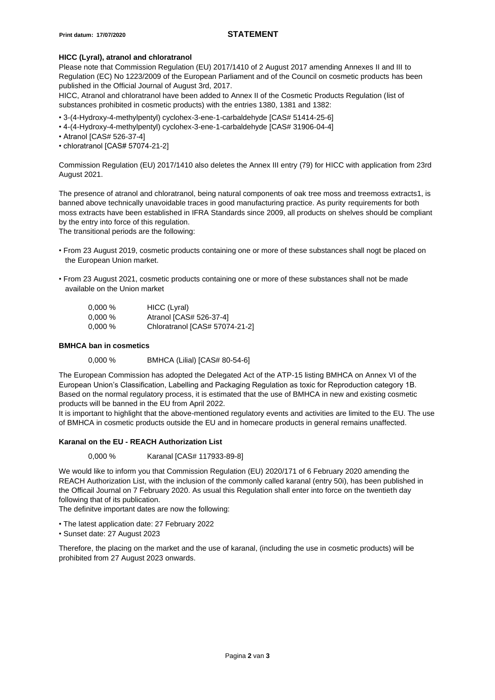# **HICC (Lyral), atranol and chloratranol**

Please note that Commission Regulation (EU) 2017/1410 of 2 August 2017 amending Annexes II and III to Regulation (EC) No 1223/2009 of the European Parliament and of the Council on cosmetic products has been published in the Official Journal of August 3rd, 2017.

HICC, Atranol and chloratranol have been added to Annex II of the Cosmetic Products Regulation (list of substances prohibited in cosmetic products) with the entries 1380, 1381 and 1382:

- 3-(4-Hydroxy-4-methylpentyl) cyclohex-3-ene-1-carbaldehyde [CAS# 51414-25-6]
- 4-(4-Hydroxy-4-methylpentyl) cyclohex-3-ene-1-carbaldehyde [CAS# 31906-04-4]
- Atranol [CAS# 526-37-4]
- chloratranol [CAS# 57074-21-2]

Commission Regulation (EU) 2017/1410 also deletes the Annex III entry (79) for HICC with application from 23rd August 2021.

The presence of atranol and chloratranol, being natural components of oak tree moss and treemoss extracts1, is banned above technically unavoidable traces in good manufacturing practice. As purity requirements for both moss extracts have been established in IFRA Standards since 2009, all products on shelves should be compliant by the entry into force of this regulation.

The transitional periods are the following:

- From 23 August 2019, cosmetic products containing one or more of these substances shall nogt be placed on the European Union market.
- From 23 August 2021, cosmetic products containing one or more of these substances shall not be made available on the Union market

| $0.000\,\%$ | HICC (Lyral)                   |
|-------------|--------------------------------|
| $0.000\,\%$ | Atranol [CAS# 526-37-4]        |
| $0.000\%$   | Chloratranol [CAS# 57074-21-2] |

#### **BMHCA ban in cosmetics**

0,000 % BMHCA (Lilial) [CAS# 80-54-6]

The European Commission has adopted the Delegated Act of the ATP-15 listing BMHCA on Annex VI of the European Union's Classification, Labelling and Packaging Regulation as toxic for Reproduction category 1B. Based on the normal regulatory process, it is estimated that the use of BMHCA in new and existing cosmetic products will be banned in the EU from April 2022.

It is important to highlight that the above-mentioned regulatory events and activities are limited to the EU. The use of BMHCA in cosmetic products outside the EU and in homecare products in general remains unaffected.

# **Karanal on the EU - REACH Authorization List**

0,000 % Karanal [CAS# 117933-89-8]

We would like to inform you that Commission Regulation (EU) 2020/171 of 6 February 2020 amending the REACH Authorization List, with the inclusion of the commonly called karanal (entry 50i), has been published in the Officail Journal on 7 February 2020. As usual this Regulation shall enter into force on the twentieth day following that of its publication.

The definitve important dates are now the following:

- The latest application date: 27 February 2022
- Sunset date: 27 August 2023

Therefore, the placing on the market and the use of karanal, (including the use in cosmetic products) will be prohibited from 27 August 2023 onwards.